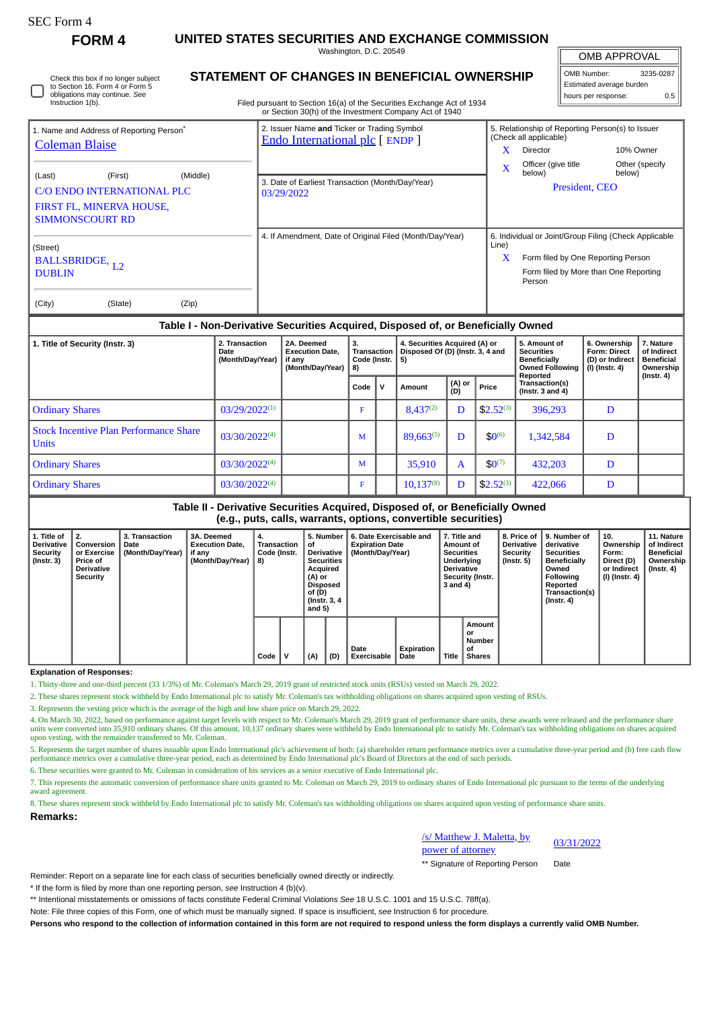Instruction 1(b).

# **FORM 4 UNITED STATES SECURITIES AND EXCHANGE COMMISSION**

Washington, D.C. 20549

OMB APPROVAL

| OMB Number:              | 3235-0287 |  |  |  |  |  |  |  |
|--------------------------|-----------|--|--|--|--|--|--|--|
| Estimated average burden |           |  |  |  |  |  |  |  |
| hours per response:      | 0.5       |  |  |  |  |  |  |  |

| Check this box if no longer subject                              | <b>STATEMENT O</b> |
|------------------------------------------------------------------|--------------------|
| to Section 16. Form 4 or Form 5<br>obligations may continue. See |                    |
| $\cdots$ $\cdots$ $\cdots$                                       |                    |

# **F CHANGES IN BENEFICIAL OWNERSHIP**

Filed pursuant to Section 16(a) of the Securities Exchange Act of 1934 or Section 30(h) of the Investment Company Act of 1940

| 1. Name and Address of Reporting Person <sup>*</sup><br><b>Coleman Blaise</b> | 2. Issuer Name and Ticker or Trading Symbol<br>Endo International plc [ENDP] | 5. Relationship of Reporting Person(s) to Issuer<br>(Check all applicable) |  |  |  |  |  |
|-------------------------------------------------------------------------------|------------------------------------------------------------------------------|----------------------------------------------------------------------------|--|--|--|--|--|
|                                                                               |                                                                              | x<br>10% Owner<br>Director                                                 |  |  |  |  |  |
| (Middle)<br>(Last)<br>(First)                                                 |                                                                              | Officer (give title<br>Other (specify<br>X<br>below)<br>below)             |  |  |  |  |  |
| C/O ENDO INTERNATIONAL PLC                                                    | 3. Date of Earliest Transaction (Month/Day/Year)<br>03/29/2022               | President, CEO                                                             |  |  |  |  |  |
| FIRST FL, MINERVA HOUSE,<br><b>SIMMONSCOURT RD</b>                            |                                                                              |                                                                            |  |  |  |  |  |
|                                                                               |                                                                              |                                                                            |  |  |  |  |  |
| (Street)                                                                      | 4. If Amendment, Date of Original Filed (Month/Day/Year)                     | 6. Individual or Joint/Group Filing (Check Applicable<br>Line)             |  |  |  |  |  |
| BALLSBRIDGE, L <sub>2</sub>                                                   |                                                                              | X<br>Form filed by One Reporting Person                                    |  |  |  |  |  |
| <b>DUBLIN</b>                                                                 |                                                                              | Form filed by More than One Reporting<br>Person                            |  |  |  |  |  |
| (City)<br>(State)<br>(Zip)                                                    |                                                                              |                                                                            |  |  |  |  |  |

## **Table I - Non-Derivative Securities Acquired, Disposed of, or Beneficially Owned**

| 1. Title of Security (Instr. 3)                     | 2. Transaction<br>Date<br>(Month/Day/Year) | 2A. Deemed<br><b>Execution Date.</b><br>if anv<br>(Month/Day/Year) | 3.<br>Transaction  <br>Code (Instr. $ 5$ )<br>8) |              | 4. Securities Acquired (A) or<br>Disposed Of (D) (Instr. 3, 4 and |               |                | 5. Amount of<br><b>Securities</b><br><b>Beneficially</b><br><b>Owned Following</b><br>Reported | 6. Ownership<br><b>Form: Direct</b><br>(D) or Indirect<br>(I) (Instr. 4) | 7. Nature<br>of Indirect<br><b>Beneficial</b><br>Ownership<br>$($ Instr. 4 $)$ |
|-----------------------------------------------------|--------------------------------------------|--------------------------------------------------------------------|--------------------------------------------------|--------------|-------------------------------------------------------------------|---------------|----------------|------------------------------------------------------------------------------------------------|--------------------------------------------------------------------------|--------------------------------------------------------------------------------|
|                                                     |                                            |                                                                    | Code                                             | $\mathbf{v}$ | Amount                                                            | (A) or<br>(D) | Price          | Transaction(s)<br>(Instr. $3$ and $4$ )                                                        |                                                                          |                                                                                |
| <b>Ordinary Shares</b>                              | 03/29/2022(1)                              |                                                                    |                                                  |              | $8.437^{(2)}$                                                     | D             | $$2.52^{(3)}$$ | 396,293                                                                                        | D                                                                        |                                                                                |
| l Stock Incentive Plan Performance Share<br>l Units | 03/30/2022(4)                              |                                                                    | M                                                |              | 89,663(5)                                                         |               | $$0^{(6)}$$    | 1,342,584                                                                                      | D                                                                        |                                                                                |
| <b>Ordinary Shares</b>                              | 03/30/2022(4)                              |                                                                    | M                                                |              | 35,910                                                            | A             | $$0^{(7)}$     | 432,203                                                                                        | D                                                                        |                                                                                |
| <b>Ordinary Shares</b>                              | 03/30/2022(4)                              |                                                                    | F.                                               |              | $10,137^{(8)}$                                                    | D             | $$2.52^{(3)}$  | 422,066                                                                                        | D                                                                        |                                                                                |

### **Table II - Derivative Securities Acquired, Disposed of, or Beneficially Owned (e.g., puts, calls, warrants, options, convertible securities)**

| 1. Title of<br>Derivative<br>Security<br>$($ Instr. 3 $)$ | 2.<br>Conversion<br>or Exercise<br>Price of<br><b>Derivative</b><br>Security | <b>3. Transaction</b><br>Date<br>(Month/Day/Year) | 3A. Deemed<br><b>Execution Date.</b><br>if any<br>(Month/Day/Year) | 4.<br>Transaction<br>Code (Instr.<br>8) |   | 5. Number<br>οf<br>Derivative  <br><b>Securities</b><br>Acquired<br>(A) or<br><b>Disposed</b><br>of (D)<br>(Instr. 3, 4)<br>and 5) |     | 6. Date Exercisable and<br><b>Expiration Date</b><br>(Month/Day/Year) | 7. Title and<br>Amount of<br><b>Securities</b><br>Underlying<br><b>Derivative</b><br>Security (Instr.<br>3 and 4) |       | 8. Price of<br><b>Derivative</b><br>Security<br>$($ Instr. 5 $)$ | l 9. Number of<br>derivative<br>Securities<br><b>Beneficially</b><br>Owned<br>Following<br>Reported<br>Transaction(s)<br>(Instr. 4) | 10.<br>Ownership<br>Form:<br>Direct (D)<br>or Indirect<br>(I) (Instr. 4) | 11. Nature<br>of Indirect<br><b>Beneficial</b><br>Ownership<br>(Instr. 4) |  |
|-----------------------------------------------------------|------------------------------------------------------------------------------|---------------------------------------------------|--------------------------------------------------------------------|-----------------------------------------|---|------------------------------------------------------------------------------------------------------------------------------------|-----|-----------------------------------------------------------------------|-------------------------------------------------------------------------------------------------------------------|-------|------------------------------------------------------------------|-------------------------------------------------------------------------------------------------------------------------------------|--------------------------------------------------------------------------|---------------------------------------------------------------------------|--|
|                                                           |                                                                              |                                                   |                                                                    | Code                                    | v | (A)                                                                                                                                | (D) | Date<br>Exercisable                                                   | Expiration<br>Date                                                                                                | Title | Amount<br>or<br>Number<br>οf<br><b>Shares</b>                    |                                                                                                                                     |                                                                          |                                                                           |  |

**Explanation of Responses:**

1. Thirty-three and one-third percent (33 1/3%) of Mr. Coleman's March 29, 2019 grant of restricted stock units (RSUs) vested on March 29, 2022.

2. These shares represent stock withheld by Endo International plc to satisfy Mr. Coleman's tax withholding obligations on shares acquired upon vesting of RSUs.

3. Represents the vesting price which is the average of the high and low share price on March 29, 2022.

4. On March 30, 2022, based on performance against target levels with respect to Mr. Coleman's March 29, 2019 grant of performance share units, these awards were released and the performance share units were converted into 35,910 ordinary shares. Of this amount, 10,137 ordinary shares were withheld by Endo International plc to satisfy Mr. Coleman's tax withholding obligations on shares acquired upon vesting, with the remainder transferred to Mr. Coleman.

5. Represents the target number of shares issuable upon Endo International plc's achievement of both: (a) shareholder return performance metrics over a cumulative three-year period and (b) free cash flow performance metrics over a cumulative three-year period, each as determined by Endo International plc's Board of Directors at the end of such periods.

6. These securities were granted to Mr. Coleman in consideration of his services as a senior executive of Endo International plc.

7. This represents the automatic conversion of performance share units granted to Mr. Coleman on March 29, 2019 to ordinary shares of Endo International plc pursuant to the terms of the underlying award agreement.

8. These shares represent stock withheld by Endo International plc to satisfy Mr. Coleman's tax withholding obligations on shares acquired upon vesting of performance share units. **Remarks:**

> /s/ Matthew J. Maletta, by  $\frac{p_0}{p_0}$  *is ividuate v 3. ividients, by*  $\frac{03}{31/2022}$

\*\* Signature of Reporting Person Date

Reminder: Report on a separate line for each class of securities beneficially owned directly or indirectly.

\* If the form is filed by more than one reporting person, *see* Instruction 4 (b)(v).

\*\* Intentional misstatements or omissions of facts constitute Federal Criminal Violations *See* 18 U.S.C. 1001 and 15 U.S.C. 78ff(a).

Note: File three copies of this Form, one of which must be manually signed. If space is insufficient, *see* Instruction 6 for procedure.

**Persons who respond to the collection of information contained in this form are not required to respond unless the form displays a currently valid OMB Number.**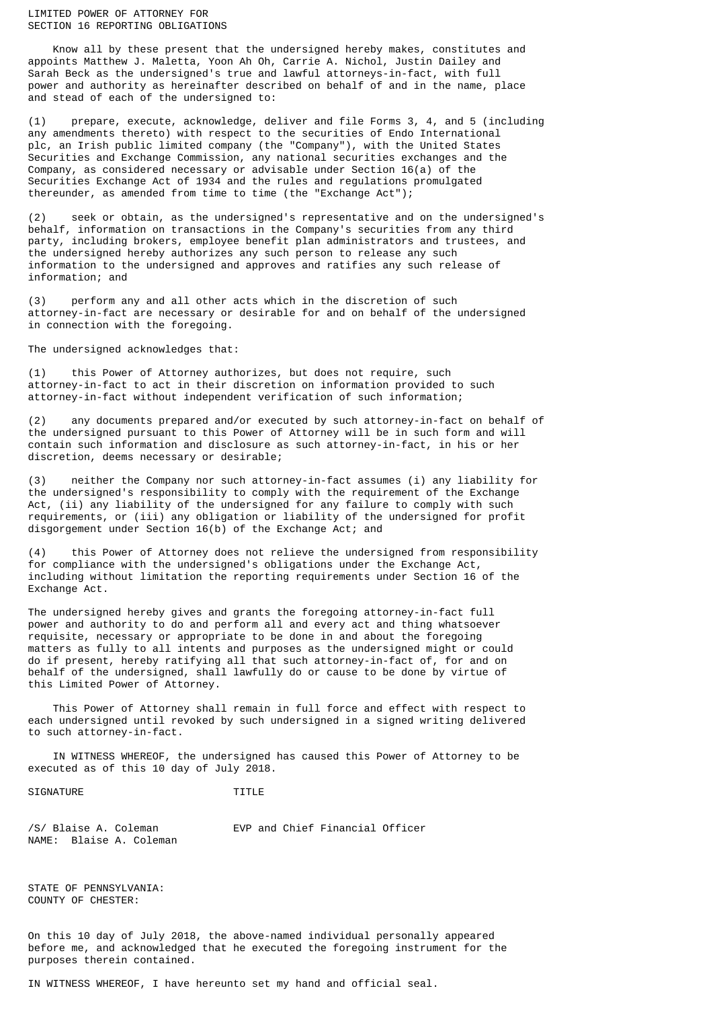### LIMITED POWER OF ATTORNEY FOR SECTION 16 REPORTING OBLIGATIONS

 Know all by these present that the undersigned hereby makes, constitutes and appoints Matthew J. Maletta, Yoon Ah Oh, Carrie A. Nichol, Justin Dailey and Sarah Beck as the undersigned's true and lawful attorneys-in-fact, with full power and authority as hereinafter described on behalf of and in the name, place and stead of each of the undersigned to:

(1) prepare, execute, acknowledge, deliver and file Forms 3, 4, and 5 (including any amendments thereto) with respect to the securities of Endo International plc, an Irish public limited company (the "Company"), with the United States Securities and Exchange Commission, any national securities exchanges and the Company, as considered necessary or advisable under Section 16(a) of the Securities Exchange Act of 1934 and the rules and regulations promulgated thereunder, as amended from time to time (the "Exchange Act");

(2) seek or obtain, as the undersigned's representative and on the undersigned's behalf, information on transactions in the Company's securities from any third party, including brokers, employee benefit plan administrators and trustees, and the undersigned hereby authorizes any such person to release any such information to the undersigned and approves and ratifies any such release of information; and

(3) perform any and all other acts which in the discretion of such attorney-in-fact are necessary or desirable for and on behalf of the undersigned in connection with the foregoing.

The undersigned acknowledges that:

this Power of Attorney authorizes, but does not require, such attorney-in-fact to act in their discretion on information provided to such attorney-in-fact without independent verification of such information;

(2) any documents prepared and/or executed by such attorney-in-fact on behalf of the undersigned pursuant to this Power of Attorney will be in such form and will contain such information and disclosure as such attorney-in-fact, in his or her discretion, deems necessary or desirable;

(3) neither the Company nor such attorney-in-fact assumes (i) any liability for the undersigned's responsibility to comply with the requirement of the Exchange Act, (ii) any liability of the undersigned for any failure to comply with such requirements, or (iii) any obligation or liability of the undersigned for profit disgorgement under Section 16(b) of the Exchange Act; and

(4) this Power of Attorney does not relieve the undersigned from responsibility for compliance with the undersigned's obligations under the Exchange Act, including without limitation the reporting requirements under Section 16 of the Exchange Act.

The undersigned hereby gives and grants the foregoing attorney-in-fact full power and authority to do and perform all and every act and thing whatsoever requisite, necessary or appropriate to be done in and about the foregoing matters as fully to all intents and purposes as the undersigned might or could do if present, hereby ratifying all that such attorney-in-fact of, for and on behalf of the undersigned, shall lawfully do or cause to be done by virtue of this Limited Power of Attorney.

 This Power of Attorney shall remain in full force and effect with respect to each undersigned until revoked by such undersigned in a signed writing delivered to such attorney-in-fact.

 IN WITNESS WHEREOF, the undersigned has caused this Power of Attorney to be executed as of this 10 day of July 2018.

SIGNATURE TITLE

/S/ Blaise A. Coleman EVP and Chief Financial Officer NAME: Blaise A. Coleman

STATE OF PENNSYLVANIA: COUNTY OF CHESTER:

On this 10 day of July 2018, the above-named individual personally appeared before me, and acknowledged that he executed the foregoing instrument for the purposes therein contained.

IN WITNESS WHEREOF, I have hereunto set my hand and official seal.